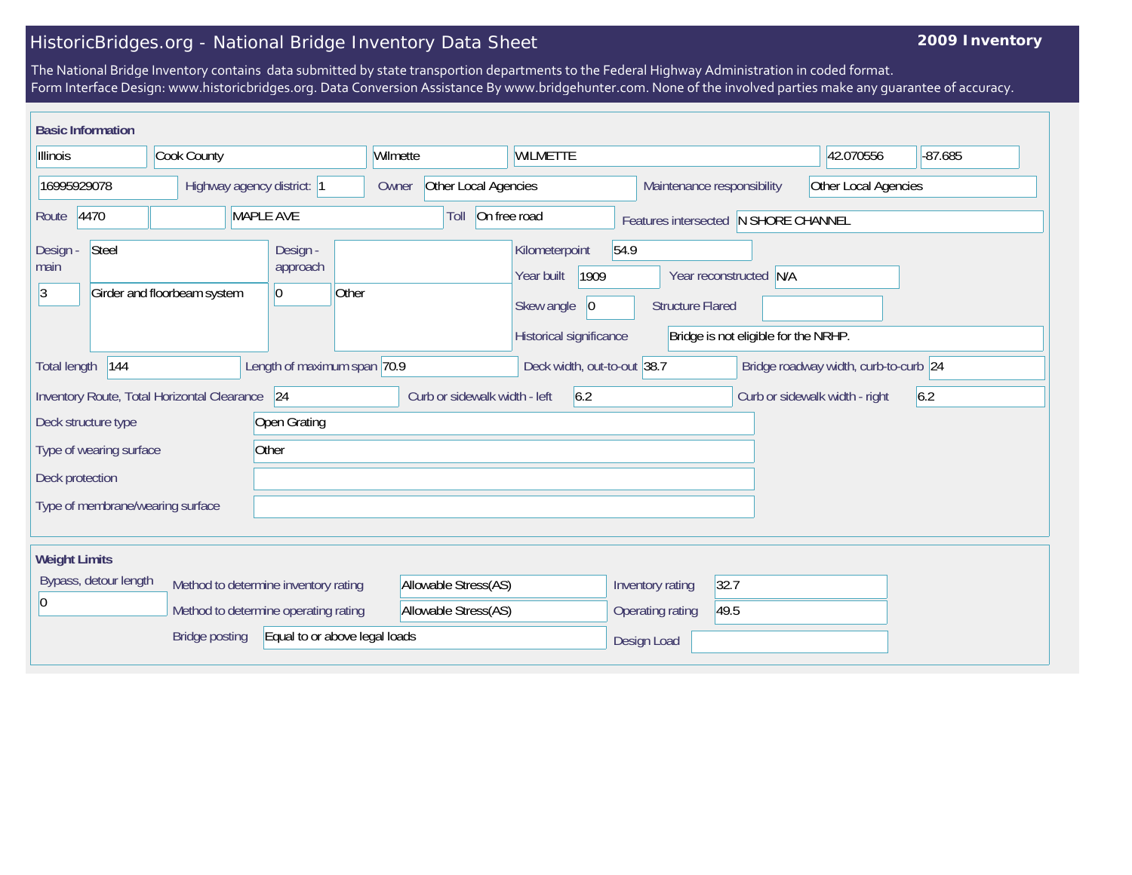## HistoricBridges.org - National Bridge Inventory Data Sheet

## **2009 Inventory**

The National Bridge Inventory contains data submitted by state transportion departments to the Federal Highway Administration in coded format. Form Interface Design: www.historicbridges.org. Data Conversion Assistance By www.bridgehunter.com. None of the involved parties make any guarantee of accuracy.

| <b>Basic Information</b>                               |                                             |                                                  |                      |                                                              |                                            |                                                        |                         |                                                                |                                       |     |
|--------------------------------------------------------|---------------------------------------------|--------------------------------------------------|----------------------|--------------------------------------------------------------|--------------------------------------------|--------------------------------------------------------|-------------------------|----------------------------------------------------------------|---------------------------------------|-----|
| Cook County<br>Illinois                                |                                             | Wilmette                                         |                      |                                                              | <b>WILMETTE</b>                            |                                                        |                         | 42.070556                                                      | $-87.685$                             |     |
| 16995929078<br>Highway agency district: 1              |                                             | Owner                                            | Other Local Agencies |                                                              |                                            | Other Local Agencies<br>Maintenance responsibility     |                         |                                                                |                                       |     |
| 4470<br>MAPLE AVE<br>Route                             |                                             |                                                  |                      | On free road<br>Toll<br>Features intersected N SHORE CHANNEL |                                            |                                                        |                         |                                                                |                                       |     |
| Steel<br>Design -<br>main<br> 3                        | Girder and floorbeam system                 | Design -<br>approach<br>Other<br>$\vert 0 \vert$ |                      |                                                              | Kilometerpoint<br>Year built<br>Skew angle | 54.9<br>1909<br>$ 0\rangle$<br>Historical significance | <b>Structure Flared</b> | Year reconstructed N/A<br>Bridge is not eligible for the NRHP. |                                       |     |
| 144<br><b>Total length</b>                             |                                             | Length of maximum span 70.9                      |                      |                                                              |                                            | Deck width, out-to-out 38.7                            |                         |                                                                | Bridge roadway width, curb-to-curb 24 |     |
|                                                        | Inventory Route, Total Horizontal Clearance | 24                                               |                      | Curb or sidewalk width - left                                |                                            | 6.2                                                    |                         |                                                                | Curb or sidewalk width - right        | 6.2 |
| Deck structure type                                    |                                             | Open Grating                                     |                      |                                                              |                                            |                                                        |                         |                                                                |                                       |     |
| Type of wearing surface                                |                                             | Other                                            |                      |                                                              |                                            |                                                        |                         |                                                                |                                       |     |
| Deck protection                                        |                                             |                                                  |                      |                                                              |                                            |                                                        |                         |                                                                |                                       |     |
| Type of membrane/wearing surface                       |                                             |                                                  |                      |                                                              |                                            |                                                        |                         |                                                                |                                       |     |
| <b>Weight Limits</b>                                   |                                             |                                                  |                      |                                                              |                                            |                                                        |                         |                                                                |                                       |     |
| Bypass, detour length                                  | Method to determine inventory rating        |                                                  | Allowable Stress(AS) |                                                              |                                            | Inventory rating                                       | 32.7                    |                                                                |                                       |     |
| l0                                                     |                                             | Method to determine operating rating             |                      | Allowable Stress(AS)                                         |                                            |                                                        | Operating rating        | 49.5                                                           |                                       |     |
| Equal to or above legal loads<br><b>Bridge posting</b> |                                             |                                                  |                      |                                                              | Design Load                                |                                                        |                         |                                                                |                                       |     |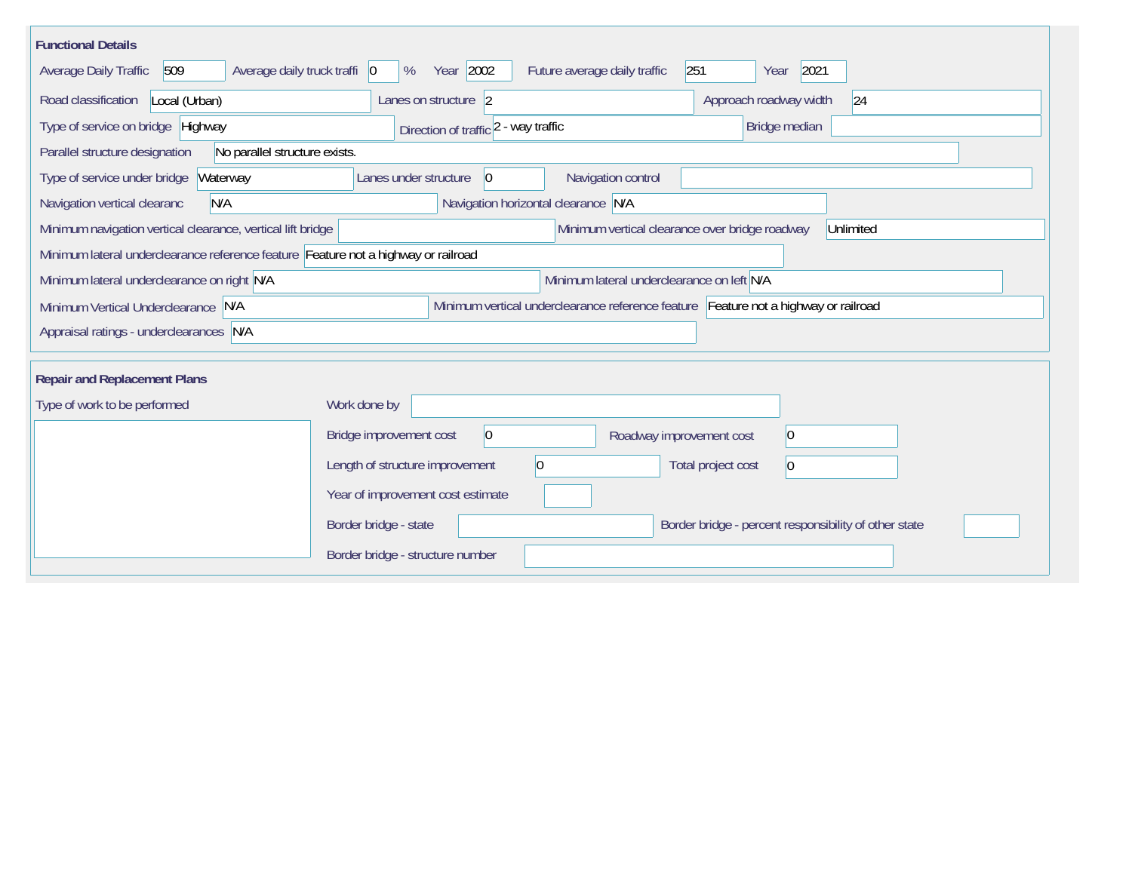| <b>Functional Details</b>                                                                                                  |                                                            |                                                       |  |  |  |  |  |  |
|----------------------------------------------------------------------------------------------------------------------------|------------------------------------------------------------|-------------------------------------------------------|--|--|--|--|--|--|
| 509<br>Average daily truck traffi 0<br><b>Average Daily Traffic</b>                                                        | Year 2002<br>Future average daily traffic<br>%             | 251<br>2021<br>Year                                   |  |  |  |  |  |  |
| Road classification<br>Local (Urban)                                                                                       | Lanes on structure 2                                       | Approach roadway width<br> 24                         |  |  |  |  |  |  |
| Type of service on bridge Highway                                                                                          | Direction of traffic 2 - way traffic                       | Bridge median                                         |  |  |  |  |  |  |
| No parallel structure exists.<br>Parallel structure designation                                                            |                                                            |                                                       |  |  |  |  |  |  |
| Waterway<br>Type of service under bridge                                                                                   | Navigation control<br>Lanes under structure<br>$ 0\rangle$ |                                                       |  |  |  |  |  |  |
| N/A<br>Navigation vertical clearanc                                                                                        | Navigation horizontal clearance N/A                        |                                                       |  |  |  |  |  |  |
| Minimum navigation vertical clearance, vertical lift bridge<br>Minimum vertical clearance over bridge roadway<br>Unlimited |                                                            |                                                       |  |  |  |  |  |  |
| Minimum lateral underclearance reference feature Feature not a highway or railroad                                         |                                                            |                                                       |  |  |  |  |  |  |
| Minimum lateral underclearance on left N/A<br>Minimum lateral underclearance on right N/A                                  |                                                            |                                                       |  |  |  |  |  |  |
| Minimum vertical underclearance reference feature Feature not a highway or railroad<br>Minimum Vertical Underclearance N/A |                                                            |                                                       |  |  |  |  |  |  |
| Appraisal ratings - underclearances N/A                                                                                    |                                                            |                                                       |  |  |  |  |  |  |
| <b>Repair and Replacement Plans</b>                                                                                        |                                                            |                                                       |  |  |  |  |  |  |
| Type of work to be performed                                                                                               | Work done by                                               |                                                       |  |  |  |  |  |  |
|                                                                                                                            |                                                            |                                                       |  |  |  |  |  |  |
|                                                                                                                            | 0 <br>Bridge improvement cost                              | $ 0\rangle$<br>Roadway improvement cost               |  |  |  |  |  |  |
|                                                                                                                            | Length of structure improvement<br>10                      | Total project cost<br>$\overline{0}$                  |  |  |  |  |  |  |
|                                                                                                                            | Year of improvement cost estimate                          |                                                       |  |  |  |  |  |  |
|                                                                                                                            | Border bridge - state                                      | Border bridge - percent responsibility of other state |  |  |  |  |  |  |
|                                                                                                                            | Border bridge - structure number                           |                                                       |  |  |  |  |  |  |